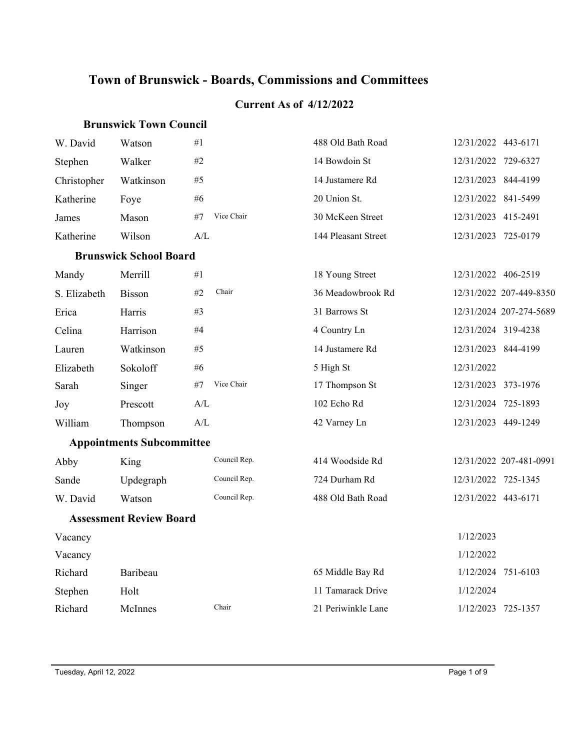# **Town of Brunswick - Boards, Commissions and Committees**

#### **Current As of 4/12/2022**

#### **Brunswick Town Council**

| W. David                       | Watson                           | #1                                                | 488 Old Bath Road   | 12/31/2022 443-6171 |                         |  |
|--------------------------------|----------------------------------|---------------------------------------------------|---------------------|---------------------|-------------------------|--|
| Stephen                        | Walker                           | #2                                                | 14 Bowdoin St       | 12/31/2022 729-6327 |                         |  |
| Christopher                    | Watkinson                        | #5                                                | 14 Justamere Rd     | 12/31/2023 844-4199 |                         |  |
| Katherine                      | Foye                             | #6                                                | 20 Union St.        | 12/31/2022 841-5499 |                         |  |
| James                          | Mason                            | Vice Chair<br>#7                                  | 30 McKeen Street    | 12/31/2023 415-2491 |                         |  |
| Katherine                      | Wilson                           | A/L                                               | 144 Pleasant Street | 12/31/2023 725-0179 |                         |  |
|                                | <b>Brunswick School Board</b>    |                                                   |                     |                     |                         |  |
| Mandy                          | Merrill                          | #1                                                | 18 Young Street     | 12/31/2022 406-2519 |                         |  |
| S. Elizabeth                   | Bisson                           | Chair<br>#2                                       | 36 Meadowbrook Rd   |                     | 12/31/2022 207-449-8350 |  |
| Erica                          | Harris                           | #3                                                | 31 Barrows St       |                     | 12/31/2024 207-274-5689 |  |
| Celina                         | Harrison                         | #4                                                | 4 Country Ln        | 12/31/2024 319-4238 |                         |  |
| Lauren                         | Watkinson                        | #5                                                | 14 Justamere Rd     | 12/31/2023 844-4199 |                         |  |
| Elizabeth                      | Sokoloff                         | $\#6$                                             | 5 High St           | 12/31/2022          |                         |  |
| Sarah                          | Singer                           | Vice Chair<br>#7                                  | 17 Thompson St      | 12/31/2023 373-1976 |                         |  |
| Joy                            | Prescott                         | A/L                                               | 102 Echo Rd         | 12/31/2024 725-1893 |                         |  |
| William                        | Thompson                         | $\ensuremath{\mathrm{A}}/\ensuremath{\mathrm{L}}$ | 42 Varney Ln        | 12/31/2023 449-1249 |                         |  |
|                                | <b>Appointments Subcommittee</b> |                                                   |                     |                     |                         |  |
| Abby                           | King                             | Council Rep.                                      | 414 Woodside Rd     |                     | 12/31/2022 207-481-0991 |  |
| Sande                          | Updegraph                        | Council Rep.                                      | 724 Durham Rd       | 12/31/2022 725-1345 |                         |  |
| W. David                       | Watson                           | Council Rep.                                      | 488 Old Bath Road   | 12/31/2022 443-6171 |                         |  |
| <b>Assessment Review Board</b> |                                  |                                                   |                     |                     |                         |  |
| Vacancy                        |                                  |                                                   |                     | 1/12/2023           |                         |  |
| Vacancy                        |                                  |                                                   |                     | 1/12/2022           |                         |  |
| Richard                        | Baribeau                         |                                                   | 65 Middle Bay Rd    |                     | 1/12/2024 751-6103      |  |
| Stephen                        | Holt                             |                                                   | 11 Tamarack Drive   | 1/12/2024           |                         |  |
| Richard                        | McInnes                          | Chair                                             | 21 Periwinkle Lane  |                     | 1/12/2023 725-1357      |  |
|                                |                                  |                                                   |                     |                     |                         |  |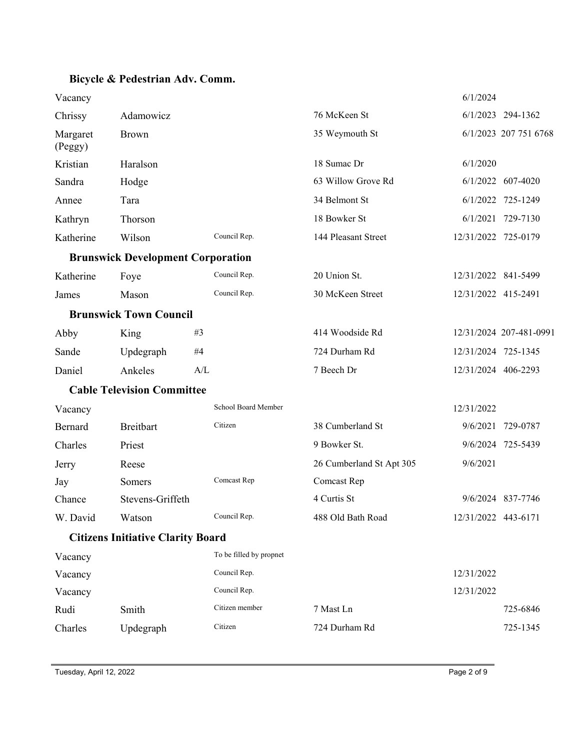## **Bicycle & Pedestrian Adv. Comm.**

| Vacancy             |                                          |     |                         |                          | 6/1/2024            |                         |
|---------------------|------------------------------------------|-----|-------------------------|--------------------------|---------------------|-------------------------|
| Chrissy             | Adamowicz                                |     |                         | 76 McKeen St             |                     | 6/1/2023 294-1362       |
| Margaret<br>(Peggy) | <b>Brown</b>                             |     |                         | 35 Weymouth St           |                     | 6/1/2023 207 751 6768   |
| Kristian            | Haralson                                 |     |                         | 18 Sumac Dr              | 6/1/2020            |                         |
| Sandra              | Hodge                                    |     |                         | 63 Willow Grove Rd       |                     | 6/1/2022 607-4020       |
| Annee               | Tara                                     |     |                         | 34 Belmont St            |                     | 6/1/2022 725-1249       |
| Kathryn             | Thorson                                  |     |                         | 18 Bowker St             |                     | 6/1/2021 729-7130       |
| Katherine           | Wilson                                   |     | Council Rep.            | 144 Pleasant Street      | 12/31/2022 725-0179 |                         |
|                     | <b>Brunswick Development Corporation</b> |     |                         |                          |                     |                         |
| Katherine           | Foye                                     |     | Council Rep.            | 20 Union St.             | 12/31/2022 841-5499 |                         |
| James               | Mason                                    |     | Council Rep.            | 30 McKeen Street         | 12/31/2022 415-2491 |                         |
|                     | <b>Brunswick Town Council</b>            |     |                         |                          |                     |                         |
| Abby                | King                                     | #3  |                         | 414 Woodside Rd          |                     | 12/31/2024 207-481-0991 |
| Sande               | Updegraph                                | #4  |                         | 724 Durham Rd            | 12/31/2024 725-1345 |                         |
| Daniel              | Ankeles                                  | A/L |                         | 7 Beech Dr               | 12/31/2024 406-2293 |                         |
|                     | <b>Cable Television Committee</b>        |     |                         |                          |                     |                         |
| Vacancy             |                                          |     | School Board Member     |                          | 12/31/2022          |                         |
| Bernard             | <b>Breitbart</b>                         |     | Citizen                 | 38 Cumberland St         |                     | 9/6/2021 729-0787       |
| Charles             | Priest                                   |     |                         | 9 Bowker St.             |                     | 9/6/2024 725-5439       |
| Jerry               | Reese                                    |     |                         | 26 Cumberland St Apt 305 | 9/6/2021            |                         |
| Jay                 | Somers                                   |     | Comcast Rep             | Comcast Rep              |                     |                         |
| Chance              | Stevens-Griffeth                         |     |                         | 4 Curtis St              |                     | 9/6/2024 837-7746       |
| W. David            | Watson                                   |     | Council Rep.            | 488 Old Bath Road        | 12/31/2022 443-6171 |                         |
|                     | <b>Citizens Initiative Clarity Board</b> |     |                         |                          |                     |                         |
| Vacancy             |                                          |     | To be filled by propnet |                          |                     |                         |
| Vacancy             |                                          |     | Council Rep.            |                          | 12/31/2022          |                         |
| Vacancy             |                                          |     | Council Rep.            |                          | 12/31/2022          |                         |
| Rudi                | Smith                                    |     | Citizen member          | 7 Mast Ln                |                     | 725-6846                |
| Charles             | Updegraph                                |     | Citizen                 | 724 Durham Rd            |                     | 725-1345                |
|                     |                                          |     |                         |                          |                     |                         |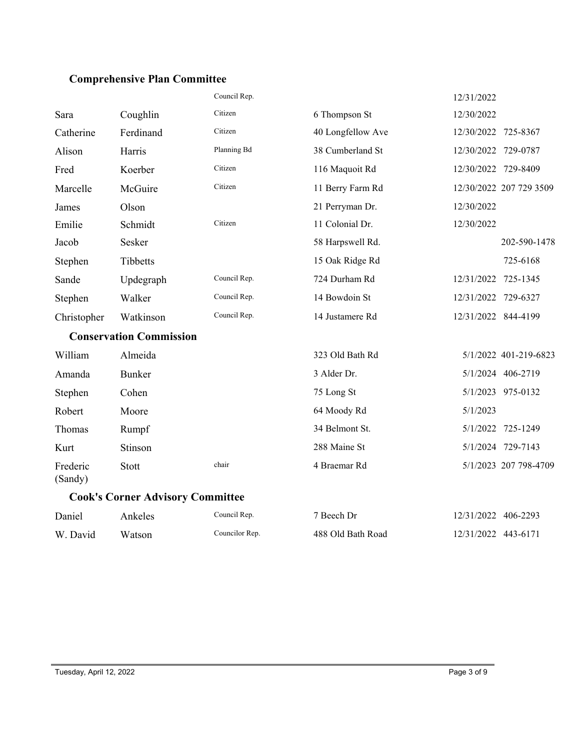## **Comprehensive Plan Committee**

|                     |                                | Council Rep. |                   | 12/31/2022          |                         |
|---------------------|--------------------------------|--------------|-------------------|---------------------|-------------------------|
| Sara                | Coughlin                       | Citizen      | 6 Thompson St     | 12/30/2022          |                         |
| Catherine           | Ferdinand                      | Citizen      | 40 Longfellow Ave | 12/30/2022          | 725-8367                |
| Alison              | Harris                         | Planning Bd  | 38 Cumberland St  | 12/30/2022          | 729-0787                |
| Fred                | Koerber                        | Citizen      | 116 Maquoit Rd    | 12/30/2022          | 729-8409                |
| Marcelle            | McGuire                        | Citizen      | 11 Berry Farm Rd  |                     | 12/30/2022 207 729 3509 |
| James               | Olson                          |              | 21 Perryman Dr.   | 12/30/2022          |                         |
| Emilie              | Schmidt                        | Citizen      | 11 Colonial Dr.   | 12/30/2022          |                         |
| Jacob               | Sesker                         |              | 58 Harpswell Rd.  |                     | 202-590-1478            |
| Stephen             | Tibbetts                       |              | 15 Oak Ridge Rd   |                     | 725-6168                |
| Sande               | Updegraph                      | Council Rep. | 724 Durham Rd     | 12/31/2022          | 725-1345                |
| Stephen             | Walker                         | Council Rep. | 14 Bowdoin St     | 12/31/2022          | 729-6327                |
| Christopher         | Watkinson                      | Council Rep. | 14 Justamere Rd   | 12/31/2022 844-4199 |                         |
|                     | <b>Conservation Commission</b> |              |                   |                     |                         |
| William             | Almeida                        |              | 323 Old Bath Rd   |                     | 5/1/2022 401-219-6823   |
| Amanda              | <b>Bunker</b>                  |              | 3 Alder Dr.       |                     | 5/1/2024 406-2719       |
| Stephen             | Cohen                          |              | 75 Long St        |                     | 5/1/2023 975-0132       |
| Robert              | Moore                          |              | 64 Moody Rd       | 5/1/2023            |                         |
| Thomas              | Rumpf                          |              | 34 Belmont St.    |                     | 5/1/2022 725-1249       |
| Kurt                | Stinson                        |              | 288 Maine St      |                     | 5/1/2024 729-7143       |
| Frederic<br>(Sandy) | Stott                          | chair        | 4 Braemar Rd      |                     | 5/1/2023 207 798-4709   |

**Cook's Corner Advisory Committee**

| Daniel   | Ankeles | Council Rep.   | <sup>7</sup> Beech Dr | 12/31/2022 406-2293 |  |
|----------|---------|----------------|-----------------------|---------------------|--|
| W. David | Watson  | Councilor Rep. | 488 Old Bath Road     | 12/31/2022 443-6171 |  |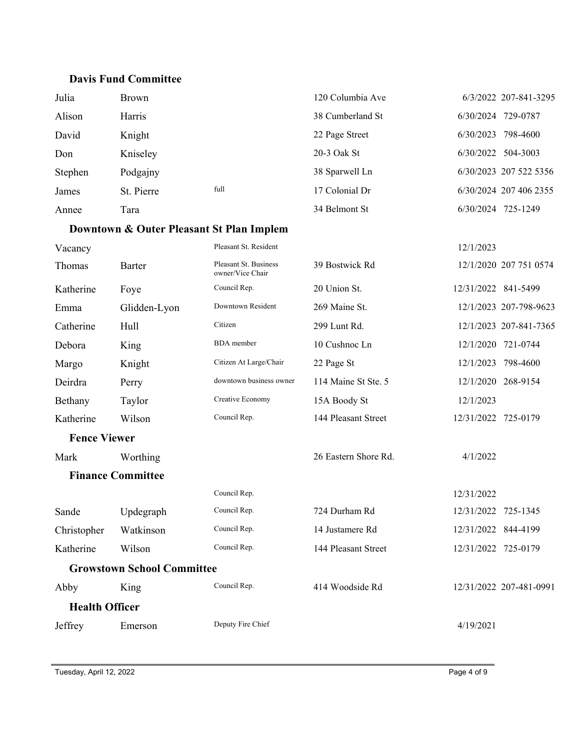#### **Davis Fund Committee**

| Julia   | Brown      |      | 120 Columbia Ave | 6/3/2022 207-841-3295  |
|---------|------------|------|------------------|------------------------|
| Alison  | Harris     |      | 38 Cumberland St | 729-0787<br>6/30/2024  |
| David   | Knight     |      | 22 Page Street   | 798-4600<br>6/30/2023  |
| Don     | Kniseley   |      | 20-3 Oak St      | 504-3003<br>6/30/2022  |
| Stephen | Podgajny   |      | 38 Sparwell Ln   | 6/30/2023 207 522 5356 |
| James   | St. Pierre | full | 17 Colonial Dr   | 6/30/2024 207 406 2355 |
| Annee   | Tara       |      | 34 Belmont St    | 6/30/2024<br>725-1249  |

## **Downtown & Outer Pleasant St Plan Implem**

| Vacancy             |                                   | Pleasant St. Resident                     |                      | 12/1/2023           |                         |  |
|---------------------|-----------------------------------|-------------------------------------------|----------------------|---------------------|-------------------------|--|
| Thomas              | Barter                            | Pleasant St. Business<br>owner/Vice Chair | 39 Bostwick Rd       |                     | 12/1/2020 207 751 0574  |  |
| Katherine           | Foye                              | Council Rep.                              | 20 Union St.         | 12/31/2022 841-5499 |                         |  |
| Emma                | Glidden-Lyon                      | Downtown Resident                         | 269 Maine St.        |                     | 12/1/2023 207-798-9623  |  |
| Catherine           | Hull                              | Citizen                                   | 299 Lunt Rd.         |                     | 12/1/2023 207-841-7365  |  |
| Debora              | King                              | <b>BDA</b> member                         | 10 Cushnoc Ln        | 12/1/2020 721-0744  |                         |  |
| Margo               | Knight                            | Citizen At Large/Chair                    | 22 Page St           | 12/1/2023           | 798-4600                |  |
| Deirdra             | Perry                             | downtown business owner                   | 114 Maine St Ste. 5  | 12/1/2020           | 268-9154                |  |
| Bethany             | Taylor                            | Creative Economy                          | 15A Boody St         | 12/1/2023           |                         |  |
| Katherine           | Wilson                            | Council Rep.                              | 144 Pleasant Street  | 12/31/2022 725-0179 |                         |  |
| <b>Fence Viewer</b> |                                   |                                           |                      |                     |                         |  |
| Mark                | Worthing                          |                                           | 26 Eastern Shore Rd. | 4/1/2022            |                         |  |
|                     | <b>Finance Committee</b>          |                                           |                      |                     |                         |  |
|                     |                                   | Council Rep.                              |                      | 12/31/2022          |                         |  |
| Sande               | Updegraph                         | Council Rep.                              | 724 Durham Rd        | 12/31/2022          | 725-1345                |  |
| Christopher         | Watkinson                         | Council Rep.                              | 14 Justamere Rd      | 12/31/2022          | 844-4199                |  |
| Katherine           | Wilson                            | Council Rep.                              | 144 Pleasant Street  | 12/31/2022          | 725-0179                |  |
|                     | <b>Growstown School Committee</b> |                                           |                      |                     |                         |  |
| Abby                | King                              | Council Rep.                              | 414 Woodside Rd      |                     | 12/31/2022 207-481-0991 |  |
|                     | <b>Health Officer</b>             |                                           |                      |                     |                         |  |
| Jeffrey             | Emerson                           | Deputy Fire Chief                         |                      | 4/19/2021           |                         |  |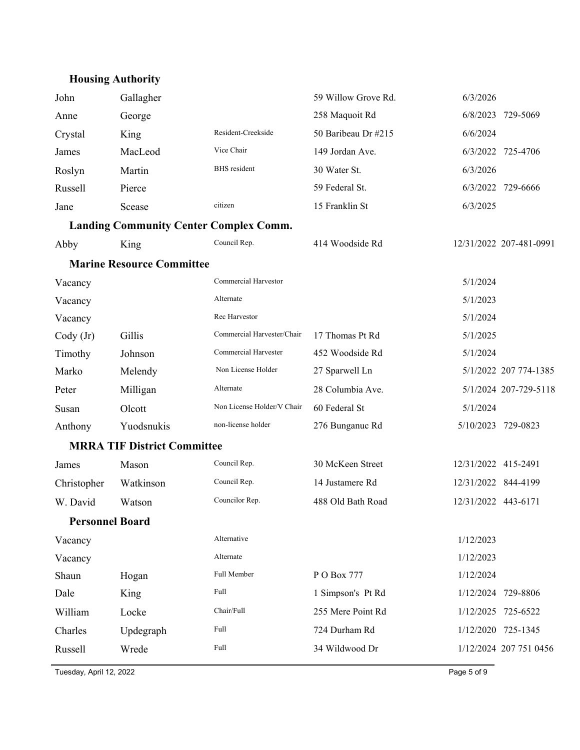# **Housing Authority**

| John                   | Gallagher                                     |                            | 59 Willow Grove Rd. | 6/3/2026            |                         |
|------------------------|-----------------------------------------------|----------------------------|---------------------|---------------------|-------------------------|
| Anne                   | George                                        |                            | 258 Maquoit Rd      | 6/8/2023            | 729-5069                |
| Crystal                | King                                          | Resident-Creekside         | 50 Baribeau Dr #215 | 6/6/2024            |                         |
| James                  | MacLeod                                       | Vice Chair                 | 149 Jordan Ave.     |                     | 6/3/2022 725-4706       |
| Roslyn                 | Martin                                        | <b>BHS</b> resident        | 30 Water St.        | 6/3/2026            |                         |
| Russell                | Pierce                                        |                            | 59 Federal St.      |                     | 6/3/2022 729-6666       |
| Jane                   | Scease                                        | citizen                    | 15 Franklin St      | 6/3/2025            |                         |
|                        | <b>Landing Community Center Complex Comm.</b> |                            |                     |                     |                         |
| Abby                   | King                                          | Council Rep.               | 414 Woodside Rd     |                     | 12/31/2022 207-481-0991 |
|                        | <b>Marine Resource Committee</b>              |                            |                     |                     |                         |
| Vacancy                |                                               | Commercial Harvestor       |                     | 5/1/2024            |                         |
| Vacancy                |                                               | Alternate                  |                     | 5/1/2023            |                         |
| Vacancy                |                                               | Rec Harvestor              |                     | 5/1/2024            |                         |
| $\text{Cody (Jr)}$     | Gillis                                        | Commercial Harvester/Chair | 17 Thomas Pt Rd     | 5/1/2025            |                         |
| Timothy                | Johnson                                       | Commercial Harvester       | 452 Woodside Rd     | 5/1/2024            |                         |
| Marko                  | Melendy                                       | Non License Holder         | 27 Sparwell Ln      |                     | 5/1/2022 207 774-1385   |
| Peter                  | Milligan                                      | Alternate                  | 28 Columbia Ave.    |                     | 5/1/2024 207-729-5118   |
| Susan                  | Olcott                                        | Non License Holder/V Chair | 60 Federal St       | 5/1/2024            |                         |
| Anthony                | Yuodsnukis                                    | non-license holder         | 276 Bunganuc Rd     |                     | 5/10/2023 729-0823      |
|                        | <b>MRRA TIF District Committee</b>            |                            |                     |                     |                         |
| James                  | Mason                                         | Council Rep.               | 30 McKeen Street    | 12/31/2022 415-2491 |                         |
| Christopher            | Watkinson                                     | Council Rep.               | 14 Justamere Rd     | 12/31/2022 844-4199 |                         |
| W. David               | Watson                                        | Councilor Rep.             | 488 Old Bath Road   | 12/31/2022 443-6171 |                         |
| <b>Personnel Board</b> |                                               |                            |                     |                     |                         |
| Vacancy                |                                               | Alternative                |                     | 1/12/2023           |                         |
| Vacancy                |                                               | Alternate                  |                     | 1/12/2023           |                         |
| Shaun                  | Hogan                                         | Full Member                | P O Box 777         | 1/12/2024           |                         |
| Dale                   | King                                          | Full                       | 1 Simpson's Pt Rd   | 1/12/2024           | 729-8806                |
| William                | Locke                                         | Chair/Full                 | 255 Mere Point Rd   | 1/12/2025           | 725-6522                |
| Charles                | Updegraph                                     | Full                       | 724 Durham Rd       |                     | 1/12/2020 725-1345      |
| Russell                | Wrede                                         | Full                       | 34 Wildwood Dr      |                     | 1/12/2024 207 751 0456  |
|                        |                                               |                            |                     |                     |                         |

Tuesday, April 12, 2022 Page 5 of 9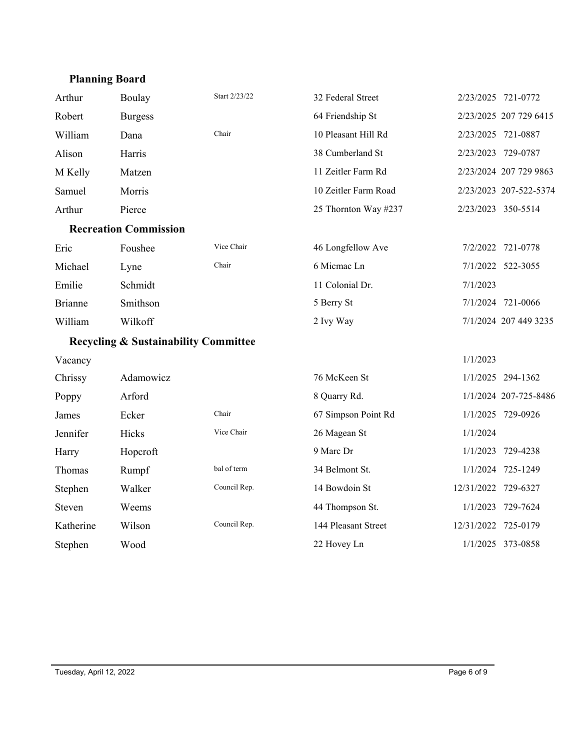## **Planning Board**

| Arthur         | Boulay                                          | Start 2/23/22 | 32 Federal Street    | 2/23/2025 721-0772  |                        |
|----------------|-------------------------------------------------|---------------|----------------------|---------------------|------------------------|
| Robert         | <b>Burgess</b>                                  |               | 64 Friendship St     |                     | 2/23/2025 207 729 6415 |
| William        | Dana                                            | Chair         | 10 Pleasant Hill Rd  | 2/23/2025 721-0887  |                        |
| Alison         | Harris                                          |               | 38 Cumberland St     | 2/23/2023 729-0787  |                        |
| M Kelly        | Matzen                                          |               | 11 Zeitler Farm Rd   |                     | 2/23/2024 207 729 9863 |
| Samuel         | Morris                                          |               | 10 Zeitler Farm Road |                     | 2/23/2023 207-522-5374 |
| Arthur         | Pierce                                          |               | 25 Thornton Way #237 | 2/23/2023 350-5514  |                        |
|                | <b>Recreation Commission</b>                    |               |                      |                     |                        |
| Eric           | Foushee                                         | Vice Chair    | 46 Longfellow Ave    |                     | 7/2/2022 721-0778      |
| Michael        | Lyne                                            | Chair         | 6 Micmac Ln          |                     | 7/1/2022 522-3055      |
| Emilie         | Schmidt                                         |               | 11 Colonial Dr.      | 7/1/2023            |                        |
| <b>Brianne</b> | Smithson                                        |               | 5 Berry St           |                     | 7/1/2024 721-0066      |
| William        | Wilkoff                                         |               | 2 Ivy Way            |                     | 7/1/2024 207 449 3235  |
|                | <b>Recycling &amp; Sustainability Committee</b> |               |                      |                     |                        |
| Vacancy        |                                                 |               |                      | 1/1/2023            |                        |
| Chrissy        | Adamowicz                                       |               | 76 McKeen St         |                     | 1/1/2025 294-1362      |
| Poppy          | Arford                                          |               | 8 Quarry Rd.         |                     | 1/1/2024 207-725-8486  |
| James          | Ecker                                           | Chair         | 67 Simpson Point Rd  |                     | 1/1/2025 729-0926      |
| Jennifer       | Hicks                                           | Vice Chair    | 26 Magean St         | 1/1/2024            |                        |
| Harry          | Hopcroft                                        |               | 9 Marc Dr            |                     | 1/1/2023 729-4238      |
| Thomas         | Rumpf                                           | bal of term   | 34 Belmont St.       |                     | 1/1/2024 725-1249      |
| Stephen        | Walker                                          | Council Rep.  | 14 Bowdoin St        | 12/31/2022 729-6327 |                        |
| Steven         | Weems                                           |               | 44 Thompson St.      |                     | 1/1/2023 729-7624      |
| Katherine      | Wilson                                          | Council Rep.  | 144 Pleasant Street  | 12/31/2022 725-0179 |                        |
| Stephen        | Wood                                            |               | 22 Hovey Ln          |                     | 1/1/2025 373-0858      |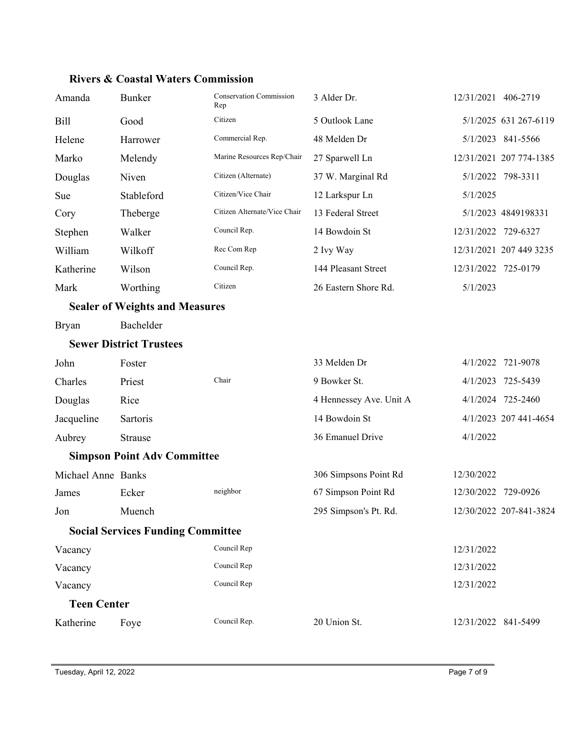| Amanda                                   | <b>Bunker</b>                         | <b>Conservation Commission</b><br>Rep | 3 Alder Dr.             | 12/31/2021 406-2719 |                         |
|------------------------------------------|---------------------------------------|---------------------------------------|-------------------------|---------------------|-------------------------|
| <b>Bill</b>                              | Good                                  | Citizen                               | 5 Outlook Lane          |                     | 5/1/2025 631 267-6119   |
| Helene                                   | Harrower                              | Commercial Rep.                       | 48 Melden Dr            |                     | 5/1/2023 841-5566       |
| Marko                                    | Melendy                               | Marine Resources Rep/Chair            | 27 Sparwell Ln          |                     | 12/31/2021 207 774-1385 |
| Douglas                                  | Niven                                 | Citizen (Alternate)                   | 37 W. Marginal Rd       |                     | 5/1/2022 798-3311       |
| Sue                                      | Stableford                            | Citizen/Vice Chair                    | 12 Larkspur Ln          | 5/1/2025            |                         |
| Cory                                     | Theberge                              | Citizen Alternate/Vice Chair          | 13 Federal Street       |                     | 5/1/2023 4849198331     |
| Stephen                                  | Walker                                | Council Rep.                          | 14 Bowdoin St           | 12/31/2022 729-6327 |                         |
| William                                  | Wilkoff                               | Rec Com Rep                           | 2 Ivy Way               |                     | 12/31/2021 207 449 3235 |
| Katherine                                | Wilson                                | Council Rep.                          | 144 Pleasant Street     | 12/31/2022 725-0179 |                         |
| Mark                                     | Worthing                              | Citizen                               | 26 Eastern Shore Rd.    | 5/1/2023            |                         |
|                                          | <b>Sealer of Weights and Measures</b> |                                       |                         |                     |                         |
| <b>Bryan</b>                             | Bachelder                             |                                       |                         |                     |                         |
|                                          | <b>Sewer District Trustees</b>        |                                       |                         |                     |                         |
| John                                     | Foster                                |                                       | 33 Melden Dr            |                     | 4/1/2022 721-9078       |
| Charles                                  | Priest                                | Chair                                 | 9 Bowker St.            |                     | 4/1/2023 725-5439       |
| Douglas                                  | Rice                                  |                                       | 4 Hennessey Ave. Unit A |                     | 4/1/2024 725-2460       |
| Jacqueline                               | Sartoris                              |                                       | 14 Bowdoin St           |                     | 4/1/2023 207 441-4654   |
| Aubrey                                   | Strause                               |                                       | 36 Emanuel Drive        | 4/1/2022            |                         |
|                                          | <b>Simpson Point Adv Committee</b>    |                                       |                         |                     |                         |
| Michael Anne Banks                       |                                       |                                       | 306 Simpsons Point Rd   | 12/30/2022          |                         |
| James                                    | Ecker                                 | neighbor                              | 67 Simpson Point Rd     | 12/30/2022 729-0926 |                         |
| Jon                                      | Muench                                |                                       | 295 Simpson's Pt. Rd.   |                     | 12/30/2022 207-841-3824 |
| <b>Social Services Funding Committee</b> |                                       |                                       |                         |                     |                         |
| Vacancy                                  |                                       | Council Rep                           |                         | 12/31/2022          |                         |
| Vacancy                                  |                                       | Council Rep                           |                         | 12/31/2022          |                         |
| Vacancy                                  |                                       | Council Rep                           |                         | 12/31/2022          |                         |
| <b>Teen Center</b>                       |                                       |                                       |                         |                     |                         |
| Katherine                                | Foye                                  | Council Rep.                          | 20 Union St.            | 12/31/2022 841-5499 |                         |

#### **Rivers & Coastal Waters Commission**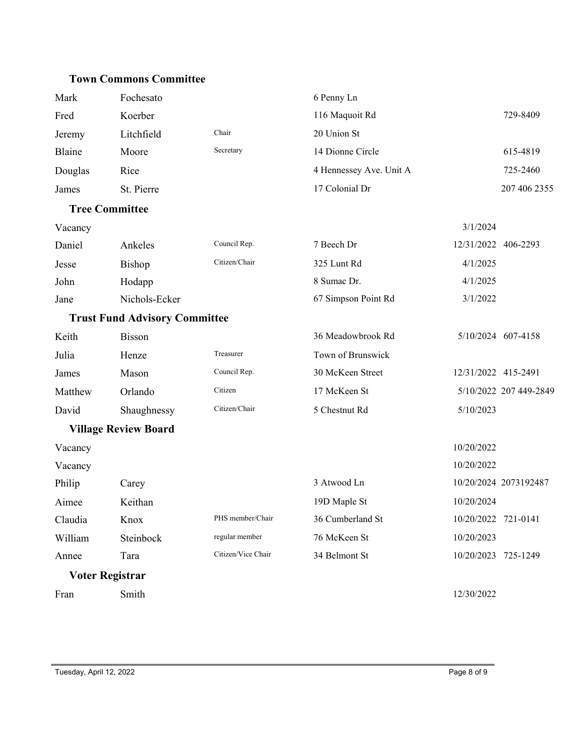#### **Town Commons Committee**

| Mark    | Fochesato                            |                    | 6 Penny Ln              |                        |
|---------|--------------------------------------|--------------------|-------------------------|------------------------|
| Fred    | Koerber                              |                    | 116 Maquoit Rd          | 729-8409               |
| Jeremy  | Litchfield                           | Chair              | 20 Union St             |                        |
| Blaine  | Moore                                | Secretary          | 14 Dionne Circle        | 615-4819               |
| Douglas | Rice                                 |                    | 4 Hennessey Ave. Unit A | 725-2460               |
| James   | St. Pierre                           |                    | 17 Colonial Dr          | 207 406 2355           |
|         | <b>Tree Committee</b>                |                    |                         |                        |
| Vacancy |                                      |                    |                         | 3/1/2024               |
| Daniel  | Ankeles                              | Council Rep.       | 7 Beech Dr              | 12/31/2022 406-2293    |
| Jesse   | Bishop                               | Citizen/Chair      | 325 Lunt Rd             | 4/1/2025               |
| John    | Hodapp                               |                    | 8 Sumac Dr.             | 4/1/2025               |
| Jane    | Nichols-Ecker                        |                    | 67 Simpson Point Rd     | 3/1/2022               |
|         | <b>Trust Fund Advisory Committee</b> |                    |                         |                        |
| Keith   | <b>Bisson</b>                        |                    | 36 Meadowbrook Rd       | 5/10/2024 607-4158     |
| Julia   | Henze                                | Treasurer          | Town of Brunswick       |                        |
| James   | Mason                                | Council Rep.       | 30 McKeen Street        | 12/31/2022 415-2491    |
| Matthew | Orlando                              | Citizen            | 17 McKeen St            | 5/10/2022 207 449-2849 |
| David   | Shaughnessy                          | Citizen/Chair      | 5 Chestnut Rd           | 5/10/2023              |
|         | <b>Village Review Board</b>          |                    |                         |                        |
| Vacancy |                                      |                    |                         | 10/20/2022             |
| Vacancy |                                      |                    |                         | 10/20/2022             |
| Philip  | Carey                                |                    | 3 Atwood Ln             | 10/20/2024 2073192487  |
| Aimee   | Keithan                              |                    | 19D Maple St            | 10/20/2024             |
| Claudia | Knox                                 | PHS member/Chair   | 36 Cumberland St        | 10/20/2022 721-0141    |
| William | Steinbock                            | regular member     | 76 McKeen St            | 10/20/2023             |
| Annee   | Tara                                 | Citizen/Vice Chair | 34 Belmont St           | 10/20/2023<br>725-1249 |
|         | <b>Voter Registrar</b>               |                    |                         |                        |
| Fran    | Smith                                |                    |                         | 12/30/2022             |